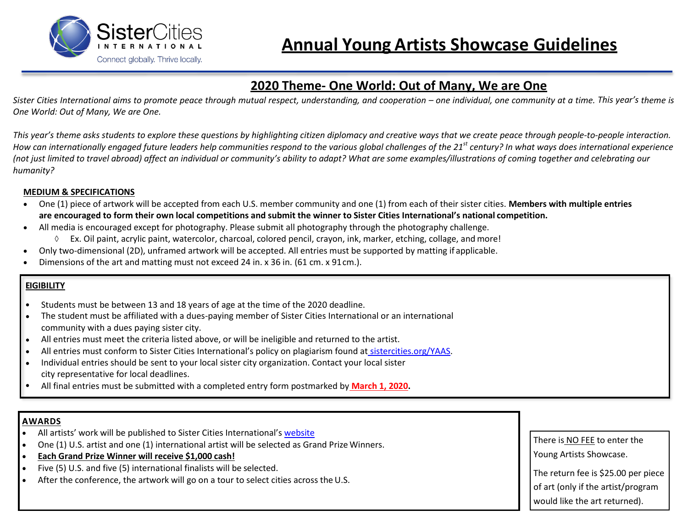

# **2020 Theme- One World: Out of Many, We are One**

*Sister Cities International aims to promote peace through mutual respect, understanding, and cooperation – one individual, one community at a time. This year's theme is One World: Out of Many, We are One.*

*This year's theme asks students to explore these questions by highlighting citizen diplomacy and creative ways that we create peace through people-to-people interaction. How can internationally engaged future leaders help communities respond to the various global challenges of the 21st century? In what ways does international experience*  (not just limited to travel abroad) affect an individual or community's ability to adapt? What are some examples/illustrations of coming together and celebrating our *humanity?*

#### **MEDIUM & SPECIFICATIONS**

- One (1) piece of artwork will be accepted from each U.S. member community and one (1) from each of their sister cities. **Members with multiple entries are encouraged to form their own local competitions and submit the winner to Sister Cities International's national competition.**
- All media is encouraged except for photography. Please submit all photography through the photography challenge.
	- $\Diamond$  Ex. Oil paint, acrylic paint, watercolor, charcoal, colored pencil, crayon, ink, marker, etching, collage, and more!
- Only two-dimensional (2D), unframed artwork will be accepted. All entries must be supported by matting if applicable.
- Dimensions of the art and matting must not exceed 24 in. x 36 in. (61 cm. x 91 cm.).

## **EIGIBILITY**

- Students must be between 13 and 18 years of age at the time of the 2020 deadline.
- The student must be affiliated with a dues-paying member of Sister Cities International or an international community with a dues paying sister city.
- All entries must meet the criteria listed above, or will be ineligible and returned to the artist.
- All entries must conform to Sister Cities International's policy on plagiarism found at [sistercities.org/YAAS.](http://sistercities.org/yaas)
- Individual entries should be sent to your local sister city organization. Contact your local sister city representative for local deadlines.
- All final entries must be submitted with a completed entry form postmarked by **March 1, 2020.**

### **AWARDS**

- All artists' work will be published to Sister Cities International's website
- One (1) U.S. artist and one (1) international artist will be selected as Grand Prize Winners.
- **Each Grand Prize Winner will receive \$1,000 cash!**
- Five (5) U.S. and five (5) international finalists will be selected.
- After the conference, the artwork will go on a tour to select cities across the U.S.

There is NO FEE to enter the Young Artists Showcase.

The return fee is \$25.00 per piece of art (only if the artist/program would like the art returned).